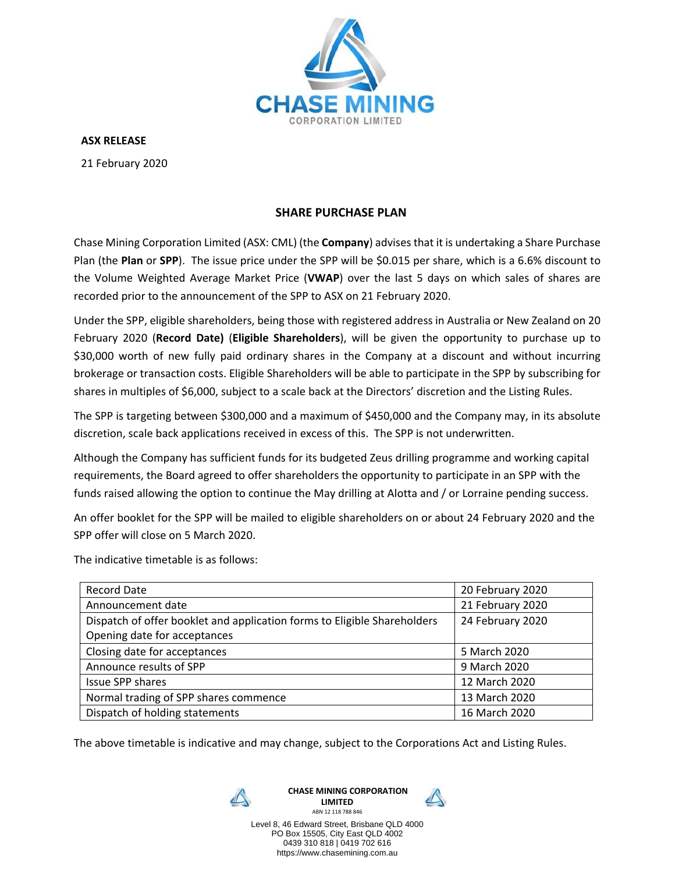

**ASX RELEASE**

21 February 2020

## **SHARE PURCHASE PLAN**

Chase Mining Corporation Limited (ASX: CML) (the **Company**) advisesthat it is undertaking a Share Purchase Plan (the **Plan** or **SPP**). The issue price under the SPP will be \$0.015 per share, which is a 6.6% discount to the Volume Weighted Average Market Price (**VWAP**) over the last 5 days on which sales of shares are recorded prior to the announcement of the SPP to ASX on 21 February 2020.

Under the SPP, eligible shareholders, being those with registered address in Australia or New Zealand on 20 February 2020 (**Record Date)** (**Eligible Shareholders**), will be given the opportunity to purchase up to \$30,000 worth of new fully paid ordinary shares in the Company at a discount and without incurring brokerage or transaction costs. Eligible Shareholders will be able to participate in the SPP by subscribing for shares in multiples of \$6,000, subject to a scale back at the Directors' discretion and the Listing Rules.

The SPP is targeting between \$300,000 and a maximum of \$450,000 and the Company may, in its absolute discretion, scale back applications received in excess of this. The SPP is not underwritten.

Although the Company has sufficient funds for its budgeted Zeus drilling programme and working capital requirements, the Board agreed to offer shareholders the opportunity to participate in an SPP with the funds raised allowing the option to continue the May drilling at Alotta and / or Lorraine pending success.

An offer booklet for the SPP will be mailed to eligible shareholders on or about 24 February 2020 and the SPP offer will close on 5 March 2020.

The indicative timetable is as follows:

| <b>Record Date</b>                                                       | 20 February 2020 |
|--------------------------------------------------------------------------|------------------|
| Announcement date                                                        | 21 February 2020 |
| Dispatch of offer booklet and application forms to Eligible Shareholders | 24 February 2020 |
| Opening date for acceptances                                             |                  |
| Closing date for acceptances                                             | 5 March 2020     |
| Announce results of SPP                                                  | 9 March 2020     |
| <b>Issue SPP shares</b>                                                  | 12 March 2020    |
| Normal trading of SPP shares commence                                    | 13 March 2020    |
| Dispatch of holding statements                                           | 16 March 2020    |

The above timetable is indicative and may change, subject to the Corporations Act and Listing Rules.



**CHASE MINING CORPORATION LIMITED**



ABN 12 118 788 846 Level 8, 46 Edward Street, Brisbane QLD 4000 PO Box 15505, City East QLD 4002 0439 310 818 | 0419 702 616 https://www.chasemining.com.au